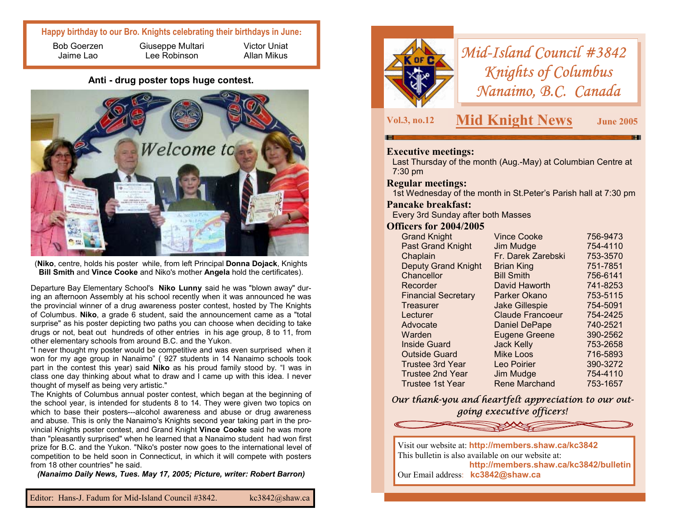# **Happy birthday to our Bro. Knights celebrating their birthdays in June:**

Bob Goerzen Jaime Lao

Giuseppe Multari Lee Robinson

Victor Uniat Allan Mikus

**Anti - drug poster tops huge contest.** 



(**Niko**, centre, holds his poster while, from left Principal **Donna Dojack**, Knights **Bill Smith** and **Vince Cooke** and Niko's mother **Angela** hold the certificates).

Departure Bay Elementary School's **Niko Lunny** said he was "blown away" during an afternoon Assembly at his school recently when it was announced he was the provincial winner of a drug awareness poster contest, hosted by The Knights of Columbus. **Niko**, a grade 6 student, said the announcement came as a "total surprise" as his poster depicting two paths you can choose when deciding to take drugs or not, beat out hundreds of other entries in his age group, 8 to 11, from other elementary schools from around B.C. and the Yukon.

"I never thought my poster would be competitive and was even surprised when it won for my age group in Nanaimo" ( 927 students in 14 Nanaimo schools took part in the contest this year) said **Niko** as his proud family stood by. "I was in class one day thinking about what to draw and I came up with this idea. I never thought of myself as being very artistic."

The Knights of Columbus annual poster contest, which began at the beginning of the school year, is intended for students 8 to 14. They were given two topics on which to base their posters---alcohol awareness and abuse or drug awareness and abuse. This is only the Nanaimo's Knights second year taking part in the provincial Knights poster contest, and Grand Knight **Vince Cooke** said he was more than "pleasantly surprised" when he learned that a Nanaimo student had won first prize for B.C. and the Yukon. "Niko's poster now goes to the international level of competition to be held soon in Connecticut, in which it will compete with posters from 18 other countries" he said.

*(Nanaimo Daily News, Tues. May 17, 2005; Picture, writer: Robert Barron)*



*Mid-Island Council #3842 Knights of Columbus Nanaimo, B.C. Canada* 

**Vol.3, no.12 Mid Knight News June 2005** 

## **Executive meetings:**

Last Thursday of the month (Aug.-May) at Columbian Centre at 7:30 pm

#### **Regular meetings:**

1st Wednesday of the month in St.Peter's Parish hall at 7:30 pm

## **Pancake breakfast:**

Every 3rd Sunday after both Masses

## **Officers for 2004/2005**

| <b>Grand Knight</b>        | <b>Vince Cooke</b>      | 756-9473 |
|----------------------------|-------------------------|----------|
| <b>Past Grand Knight</b>   | Jim Mudge               | 754-4110 |
| Chaplain                   | Fr. Darek Zarebski      | 753-3570 |
| <b>Deputy Grand Knight</b> | <b>Brian King</b>       | 751-7851 |
| Chancellor                 | <b>Bill Smith</b>       | 756-6141 |
| Recorder                   | David Haworth           | 741-8253 |
| <b>Financial Secretary</b> | Parker Okano            | 753-5115 |
| Treasurer                  | <b>Jake Gillespie</b>   | 754-5091 |
| Lecturer                   | <b>Claude Francoeur</b> | 754-2425 |
| Advocate                   | <b>Daniel DePape</b>    | 740-2521 |
| Warden                     | <b>Eugene Greene</b>    | 390-2562 |
| Inside Guard               | <b>Jack Kelly</b>       | 753-2658 |
| <b>Outside Guard</b>       | <b>Mike Loos</b>        | 716-5893 |
| <b>Trustee 3rd Year</b>    | Leo Poirier             | 390-3272 |
| <b>Trustee 2nd Year</b>    | Jim Mudge               | 754-4110 |
| Trustee 1st Year           | <b>Rene Marchand</b>    | 753-1657 |

*Our thank-you and heartfelt appreciation to our outgoing executive officers!*